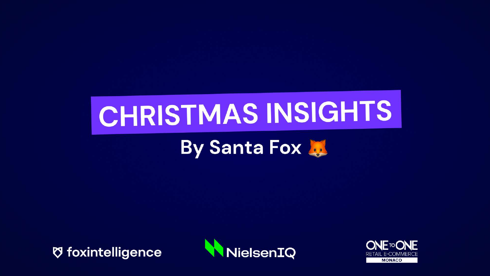# CHRISTMAS INSIGHTS

### By Santa Fox

**Ø foxintelligence** 



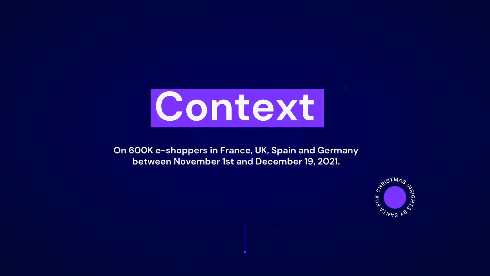

**On 600K e-shoppers in France, UK, Spain and Germany between November 1st and December 19, 2021.** 

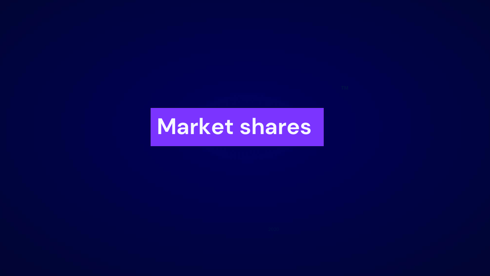### **Market shares**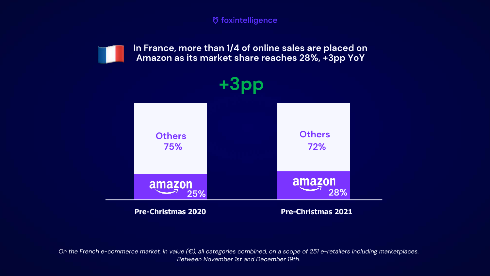**In France, more than 1/4 of online sales are placed on Amazon as its market share reaches 28%, +3pp YoY**



*On the French e-commerce market, in value (€), all categories combined, on a scope of 251 e-retailers including marketplaces. Between November 1st and December 19th.*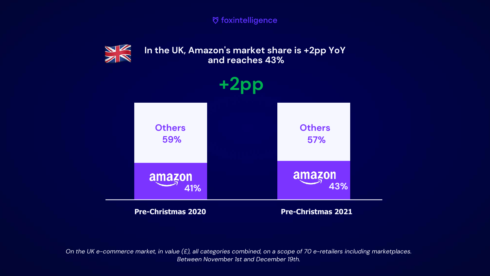

**In the UK, Amazon's market share is +2pp YoY and reaches 43%**



*On the UK e-commerce market, in value (£), all categories combined, on a scope of 70 e-retailers including marketplaces. Between November 1st and December 19th.*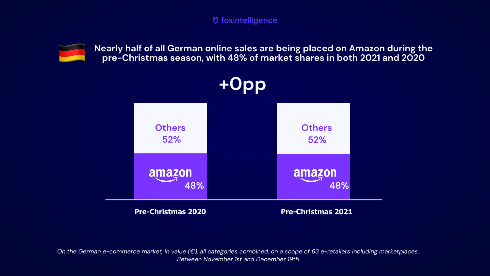

**Nearly half of all German online sales are being placed on Amazon during the pre-Christmas season, with 48% of market shares in both 2021 and 2020**



*On the German e-commerce market, in value (€), all categories combined, on a scope of 63 e-retailers including marketplaces.. Between November 1st and December 19th.*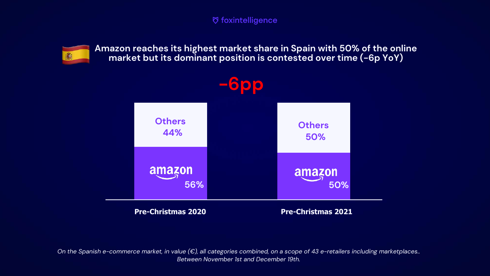

**Amazon reaches its highest market share in Spain with 50% of the online market but its dominant position is contested over time (-6p YoY)**



*On the Spanish e-commerce market, in value (€), all categories combined, on a scope of 43 e-retailers including marketplaces.. Between November 1st and December 19th.*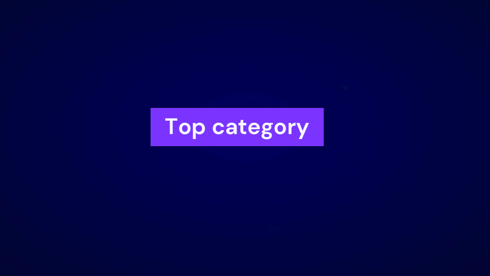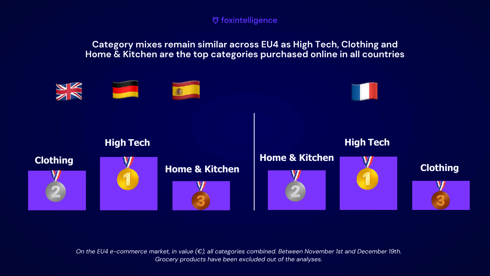

**Category mixes remain similar across EU4 as High Tech, Clothing and Home & Kitchen are the top categories purchased online in all countries**

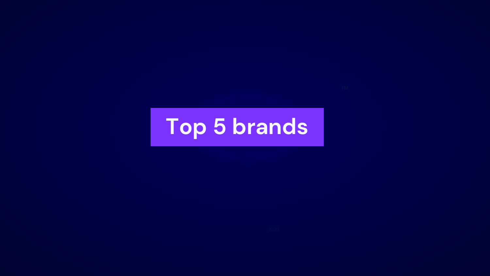## **Top 5 brands**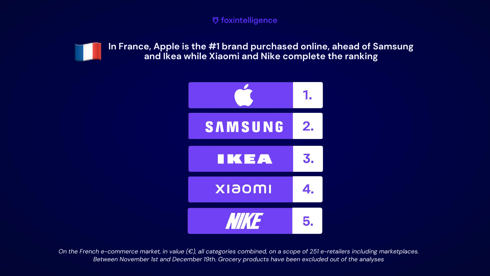

**In France, Apple is the #1 brand purchased online, ahead of Samsung and Ikea while Xiaomi and Nike complete the ranking**



*On the French e-commerce market, in value (€), all categories combined, on a scope of 251 e-retailers including marketplaces. Between November 1st and December 19th. Grocery products have been excluded out of the analyses*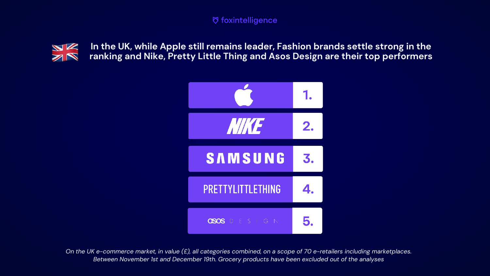

**In the UK, while Apple still remains leader, Fashion brands settle strong in the ranking and Nike, Pretty Little Thing and Asos Design are their top performers**



*On the UK e-commerce market, in value (£), all categories combined, on a scope of 70 e-retailers including marketplaces. Between November 1st and December 19th. Grocery products have been excluded out of the analyses*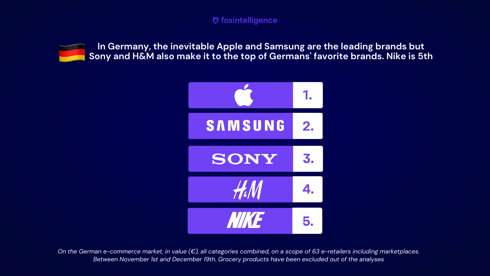

**In Germany, the inevitable Apple and Samsung are the leading brands but Sony and H&M also make it to the top of Germans' favorite brands. Nike is 5th**



*On the German e-commerce market, in value (€), all categories combined, on a scope of 63 e-retailers including marketplaces. Between November 1st and December 19th. Grocery products have been excluded out of the analyses*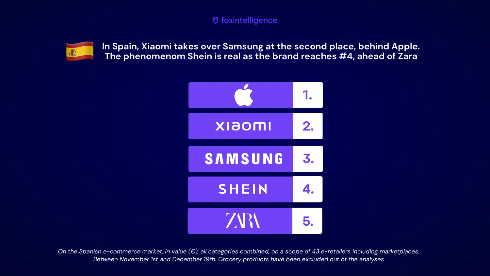

**In Spain, Xiaomi takes over Samsung at the second place, behind Apple. The phenomenom Shein is real as the brand reaches #4, ahead of Zara**



*On the Spanish e-commerce market, in value (€), all categories combined, on a scope of 43 e-retailers including marketplaces. Between November 1st and December 19th. Grocery products have been excluded out of the analyses*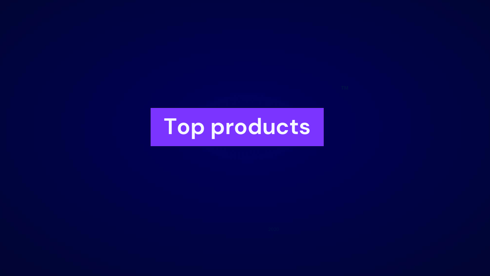## Top products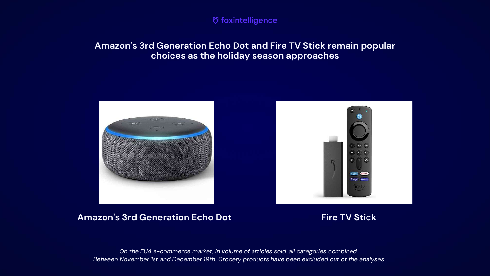

#### **Amazon's 3rd Generation Echo Dot and Fire TV Stick remain popular choices as the holiday season approaches**





#### **Amazon's 3rd Generation Echo Dot Fire TV Stick**

*On the EU4 e-commerce market, in volume of articles sold, all categories combined. Between November 1st and December 19th. Grocery products have been excluded out of the analyses*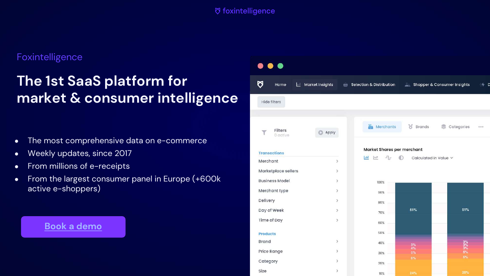#### Foxintelligence

### **The 1st SaaS platform for market & consumer intelligence**

- The most comprehensive data on e-commerce
- Weekly updates, since 2017
- From millions of e-receipts
- From the largest consumer panel in Europe (+600k active e-shoppers)

#### **[Book a demo](https://www.foxintelligence.io/demo/)**

| 9                     |                     |               |                              |                            |                                                                          |                   |                             |                               |  |
|-----------------------|---------------------|---------------|------------------------------|----------------------------|--------------------------------------------------------------------------|-------------------|-----------------------------|-------------------------------|--|
| ୦                     | Home                |               | Market Insights              | Ŵ                          | Selection & Distribution                                                 |                   | Shopper & Consumer Insights | 4 D                           |  |
| Hide filters          |                     |               |                              |                            |                                                                          |                   |                             |                               |  |
|                       |                     |               |                              |                            |                                                                          |                   |                             |                               |  |
|                       | Filters<br>0 active |               | Apply                        |                            | Merchants                                                                | ಕ<br>Brands       | Categories<br>s             | $\mathbf{a}\otimes\mathbf{a}$ |  |
| <b>Transactions</b>   |                     |               |                              | Market Shares per merchant |                                                                          |                   |                             |                               |  |
| Merchant              |                     |               | $\mathcal{P}$                |                            | $ $ iil<br>$\mathcal{A}^{\mathbb{C}}$<br>$\sim$<br>Calculated in Value v |                   |                             |                               |  |
| Marketplace sellers   |                     |               | $\left\langle \right\rangle$ |                            |                                                                          |                   |                             |                               |  |
| <b>Business Model</b> |                     |               | $\left\langle \right\rangle$ |                            | 100%                                                                     |                   |                             |                               |  |
| Merchant type         |                     |               | $\geq$                       |                            | 90%                                                                      |                   |                             |                               |  |
| Delivery              |                     |               | $\geq$                       |                            | 80%                                                                      |                   |                             |                               |  |
| Day of Week           |                     | $\geq$        |                              | 70%                        | 51%                                                                      | 51%               |                             |                               |  |
| Time of Day           |                     |               | $\geq$                       |                            | 60%                                                                      |                   |                             |                               |  |
| <b>Products</b>       |                     |               |                              | 50%                        |                                                                          |                   |                             |                               |  |
| <b>Brand</b><br>$\,$  |                     |               |                              | 40%                        | $3%$<br>$4%$                                                             | $\frac{3\%}{3\%}$ |                             |                               |  |
| Price Range<br>$\geq$ |                     |               |                              | 30%                        | 5%                                                                       | 5%<br>6%          |                             |                               |  |
| Category              |                     | $\mathcal{P}$ |                              | 20%                        | 6%                                                                       |                   |                             |                               |  |
| Size                  |                     |               | $\mathcal{P}$                |                            | 10%                                                                      | 24%               | 25%                         |                               |  |